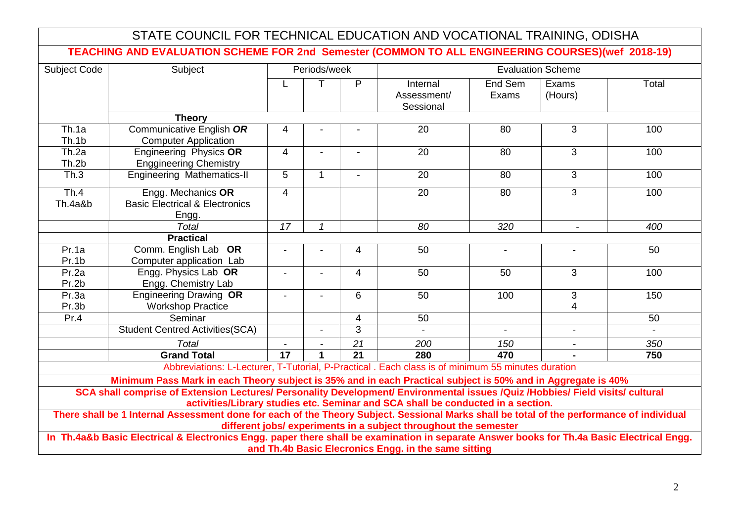|                                                                                                                                                                                                                    | STATE COUNCIL FOR TECHNICAL EDUCATION AND VOCATIONAL TRAINING, ODISHA                                                                      |                                          |                |                 |                                                      |                  |                     |       |
|--------------------------------------------------------------------------------------------------------------------------------------------------------------------------------------------------------------------|--------------------------------------------------------------------------------------------------------------------------------------------|------------------------------------------|----------------|-----------------|------------------------------------------------------|------------------|---------------------|-------|
|                                                                                                                                                                                                                    | TEACHING AND EVALUATION SCHEME FOR 2nd Semester (COMMON TO ALL ENGINEERING COURSES)(wef 2018-19)                                           |                                          |                |                 |                                                      |                  |                     |       |
| <b>Subject Code</b>                                                                                                                                                                                                | Subject                                                                                                                                    | Periods/week<br><b>Evaluation Scheme</b> |                |                 |                                                      |                  |                     |       |
|                                                                                                                                                                                                                    |                                                                                                                                            |                                          | т              | P               | Internal<br>Assessment/<br>Sessional                 | End Sem<br>Exams | Exams<br>(Hours)    | Total |
|                                                                                                                                                                                                                    | <b>Theory</b>                                                                                                                              |                                          |                |                 |                                                      |                  |                     |       |
| Th.1a<br>Th.1b                                                                                                                                                                                                     | Communicative English OR<br><b>Computer Application</b>                                                                                    | 4                                        |                |                 | 20                                                   | 80               | 3                   | 100   |
| Th.2a<br>Th.2b                                                                                                                                                                                                     | Engineering Physics OR<br><b>Enggineering Chemistry</b>                                                                                    | $\overline{4}$                           | $\overline{a}$ | $\blacksquare$  | $\overline{20}$                                      | 80               | 3                   | 100   |
| $\overline{\text{Th.3}}$                                                                                                                                                                                           | <b>Engineering Mathematics-II</b>                                                                                                          | $\overline{5}$                           | $\mathbf{1}$   | $\overline{a}$  | $\overline{20}$                                      | 80               | 3                   | 100   |
| Th.4<br>Th.4a&b                                                                                                                                                                                                    | Engg. Mechanics OR<br><b>Basic Electrical &amp; Electronics</b><br>Engg.                                                                   | $\overline{4}$                           |                |                 | 20                                                   | 80               | $\overline{3}$      | 100   |
|                                                                                                                                                                                                                    | <b>Total</b>                                                                                                                               | $\overline{17}$                          | $\mathbf{1}$   |                 | 80                                                   | 320              |                     | 400   |
|                                                                                                                                                                                                                    | <b>Practical</b>                                                                                                                           |                                          |                |                 |                                                      |                  |                     |       |
| Pr.1a<br>Pr.1b                                                                                                                                                                                                     | Comm. English Lab OR<br>Computer application Lab                                                                                           |                                          |                | 4               | 50                                                   |                  |                     | 50    |
| Pr.2a<br>Pr.2b                                                                                                                                                                                                     | Engg. Physics Lab OR<br>Engg. Chemistry Lab                                                                                                |                                          | $\blacksquare$ | $\overline{4}$  | 50                                                   | 50               | 3                   | 100   |
| Pr.3a<br>Pr.3b                                                                                                                                                                                                     | <b>Engineering Drawing OR</b><br><b>Workshop Practice</b>                                                                                  |                                          |                | $6\phantom{1}$  | 50                                                   | 100              | $\mathfrak{B}$<br>4 | 150   |
| Pr.4                                                                                                                                                                                                               | Seminar                                                                                                                                    |                                          |                | $\overline{4}$  | 50                                                   |                  |                     | 50    |
|                                                                                                                                                                                                                    | <b>Student Centred Activities(SCA)</b>                                                                                                     |                                          | $\overline{a}$ | 3               |                                                      |                  | $\blacksquare$      |       |
|                                                                                                                                                                                                                    | <b>Total</b>                                                                                                                               | $\overline{a}$                           | $\overline{a}$ | $\overline{21}$ | 200                                                  | 150              | $\blacksquare$      | 350   |
|                                                                                                                                                                                                                    | <b>Grand Total</b>                                                                                                                         | 17                                       | $\mathbf 1$    | $\overline{21}$ | 280                                                  | 470              |                     | 750   |
|                                                                                                                                                                                                                    | Abbreviations: L-Lecturer, T-Tutorial, P-Practical . Each class is of minimum 55 minutes duration                                          |                                          |                |                 |                                                      |                  |                     |       |
|                                                                                                                                                                                                                    | Minimum Pass Mark in each Theory subject is 35% and in each Practical subject is 50% and in Aggregate is 40%                               |                                          |                |                 |                                                      |                  |                     |       |
| SCA shall comprise of Extension Lectures/ Personality Development/ Environmental issues /Quiz /Hobbies/ Field visits/ cultural<br>activities/Library studies etc. Seminar and SCA shall be conducted in a section. |                                                                                                                                            |                                          |                |                 |                                                      |                  |                     |       |
| There shall be 1 Internal Assessment done for each of the Theory Subject. Sessional Marks shall be total of the performance of individual<br>different jobs/ experiments in a subject throughout the semester      |                                                                                                                                            |                                          |                |                 |                                                      |                  |                     |       |
|                                                                                                                                                                                                                    | In Th.4a&b Basic Electrical & Electronics Engg. paper there shall be examination in separate Answer books for Th.4a Basic Electrical Engg. |                                          |                |                 | and Th.4b Basic Elecronics Engg. in the same sitting |                  |                     |       |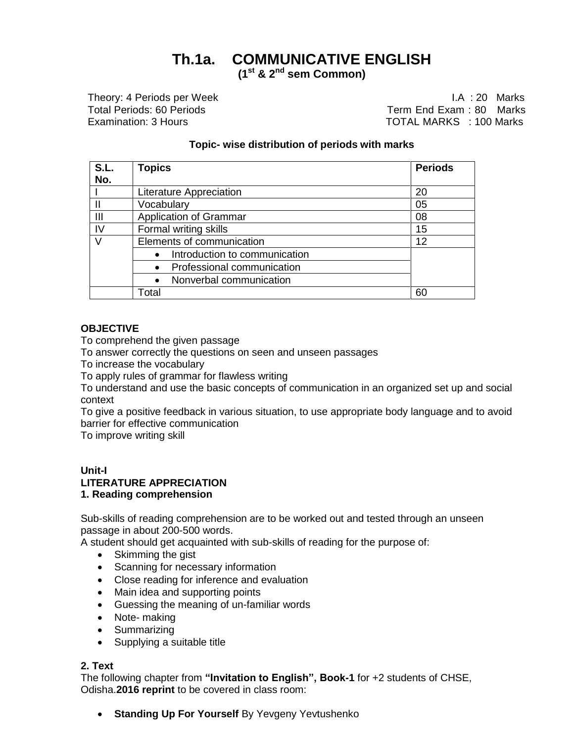# **Th.1a. COMMUNICATIVE ENGLISH**

**(1st & 2nd sem Common)**

Theory: 4 Periods per Week I.A : 20 Marks Total Periods: 60 Periods Term End Exam : 80 Marks Examination: 3 Hours TOTAL MARKS : 100 Marks

## **Topic- wise distribution of periods with marks**

| S.L. | <b>Topics</b>                 | <b>Periods</b> |
|------|-------------------------------|----------------|
| No.  |                               |                |
|      | Literature Appreciation       | 20             |
|      | Vocabulary                    | 05             |
| Ш    | <b>Application of Grammar</b> | 08             |
| IV   | Formal writing skills         | 15             |
|      | Elements of communication     | 12             |
|      | Introduction to communication |                |
|      | Professional communication    |                |
|      | Nonverbal communication       |                |
|      | Total                         | 60             |

#### **OBJECTIVE**

To comprehend the given passage

To answer correctly the questions on seen and unseen passages

To increase the vocabulary

To apply rules of grammar for flawless writing

To understand and use the basic concepts of communication in an organized set up and social context

To give a positive feedback in various situation, to use appropriate body language and to avoid barrier for effective communication

To improve writing skill

## **Unit-I LITERATURE APPRECIATION**

#### **1. Reading comprehension**

Sub-skills of reading comprehension are to be worked out and tested through an unseen passage in about 200-500 words.

A student should get acquainted with sub-skills of reading for the purpose of:

- Skimming the gist
- Scanning for necessary information
- Close reading for inference and evaluation
- Main idea and supporting points
- Guessing the meaning of un-familiar words
- Note- making
- Summarizing
- Supplying a suitable title

### **2. Text**

The following chapter from **"Invitation to English", Book-1** for +2 students of CHSE, Odisha.**2016 reprint** to be covered in class room:

**Standing Up For Yourself By Yevgeny Yevtushenko**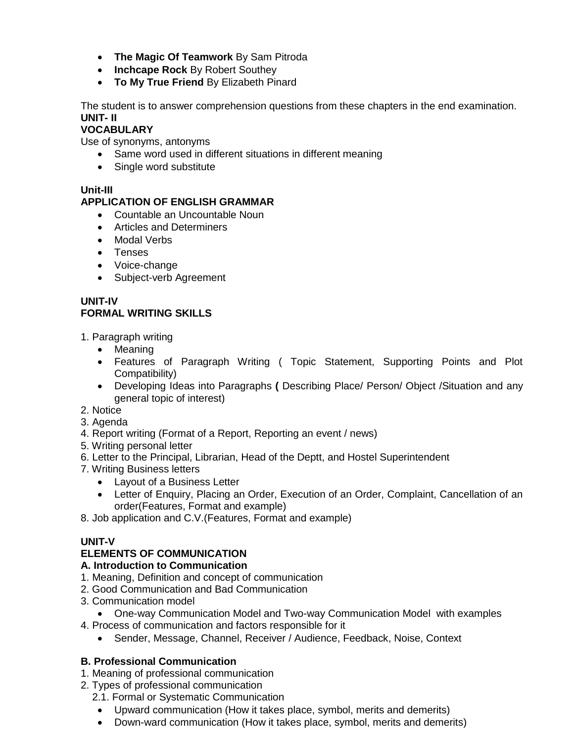- **The Magic Of Teamwork** By Sam Pitroda
- **Inchcape Rock** By Robert Southey
- **To My True Friend** By Elizabeth Pinard

The student is to answer comprehension questions from these chapters in the end examination. **UNIT- II**

## **VOCABULARY**

Use of synonyms, antonyms

- Same word used in different situations in different meaning
- Single word substitute

## **Unit-III**

## **APPLICATION OF ENGLISH GRAMMAR**

- Countable an Uncountable Noun
- Articles and Determiners
- Modal Verbs
- Tenses
- Voice-change
- Subject-verb Agreement

### **UNIT-IV FORMAL WRITING SKILLS**

1. Paragraph writing

- Meaning
- Features of Paragraph Writing ( Topic Statement, Supporting Points and Plot Compatibility)
- Developing Ideas into Paragraphs **(** Describing Place/ Person/ Object /Situation and any general topic of interest)
- 2. Notice
- 3. Agenda
- 4. Report writing (Format of a Report, Reporting an event / news)
- 5. Writing personal letter
- 6. Letter to the Principal, Librarian, Head of the Deptt, and Hostel Superintendent
- 7. Writing Business letters
	- Layout of a Business Letter
	- Letter of Enquiry, Placing an Order, Execution of an Order, Complaint, Cancellation of an order(Features, Format and example)
- 8. Job application and C.V.(Features, Format and example)

## **UNIT-V**

## **ELEMENTS OF COMMUNICATION**

## **A. Introduction to Communication**

- 1. Meaning, Definition and concept of communication
- 2. Good Communication and Bad Communication
- 3. Communication model
	- One-way Communication Model and Two-way Communication Model with examples
- 4. Process of communication and factors responsible for it
	- Sender, Message, Channel, Receiver / Audience, Feedback, Noise, Context

## **B. Professional Communication**

- 1. Meaning of professional communication
- 2. Types of professional communication
	- 2.1. Formal or Systematic Communication
	- Upward communication (How it takes place, symbol, merits and demerits)
	- Down-ward communication (How it takes place, symbol, merits and demerits)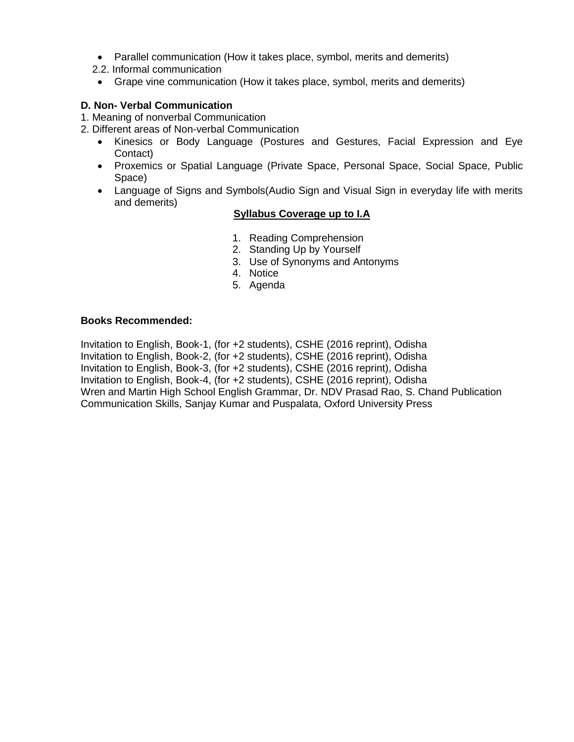- Parallel communication (How it takes place, symbol, merits and demerits)
- 2.2. Informal communication
- Grape vine communication (How it takes place, symbol, merits and demerits)

### **D. Non- Verbal Communication**

- 1. Meaning of nonverbal Communication
- 2. Different areas of Non-verbal Communication
	- Kinesics or Body Language (Postures and Gestures, Facial Expression and Eye Contact)
	- Proxemics or Spatial Language (Private Space, Personal Space, Social Space, Public Space)
	- Language of Signs and Symbols(Audio Sign and Visual Sign in everyday life with merits and demerits)

## **Syllabus Coverage up to I.A**

- 1. Reading Comprehension
- 2. Standing Up by Yourself
- 3. Use of Synonyms and Antonyms
- 4. Notice
- 5. Agenda

#### **Books Recommended:**

Invitation to English, Book-1, (for +2 students), CSHE (2016 reprint), Odisha Invitation to English, Book-2, (for +2 students), CSHE (2016 reprint), Odisha Invitation to English, Book-3, (for +2 students), CSHE (2016 reprint), Odisha Invitation to English, Book-4, (for +2 students), CSHE (2016 reprint), Odisha Wren and Martin High School English Grammar, Dr. NDV Prasad Rao, S. Chand Publication Communication Skills, Sanjay Kumar and Puspalata, Oxford University Press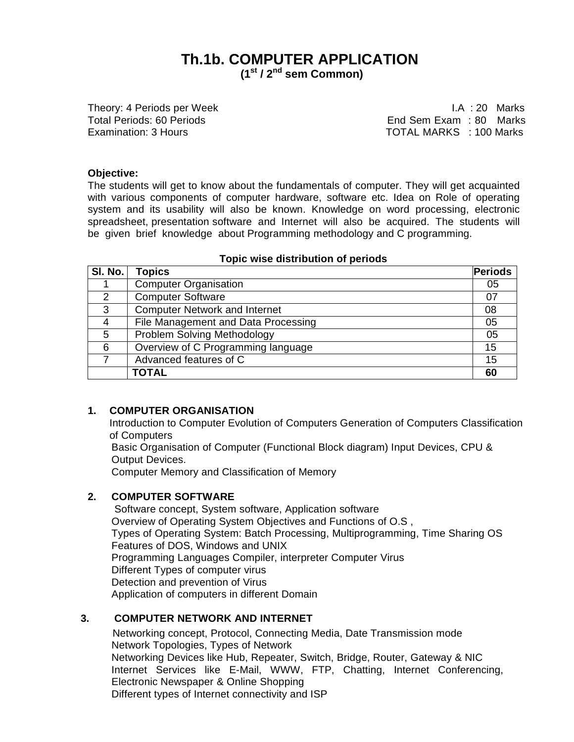## **Th.1b. COMPUTER APPLICATION (1st / 2 nd sem Common)**

Theory: 4 Periods per Week I.A : 20 Marks

Total Periods: 60 Periods **End Sem Exam : 80 Marks** Examination: 3 Hours TOTAL MARKS : 100 Marks

#### **Objective:**

The students will get to know about the fundamentals of computer. They will get acquainted with various components of computer hardware, software etc. Idea on Role of operating system and its usability will also be known. Knowledge on word processing, electronic spreadsheet, presentation software and Internet will also be acquired. The students will be given brief knowledge about Programming methodology and C programming.

| SI. No.       | <b>Topics</b>                        | Periods |
|---------------|--------------------------------------|---------|
|               | <b>Computer Organisation</b>         | 05      |
| $\mathcal{P}$ | <b>Computer Software</b>             | 07      |
| 3             | <b>Computer Network and Internet</b> | 08      |
| 4             | File Management and Data Processing  | 05      |
| 5             | Problem Solving Methodology          | 05      |
| 6             | Overview of C Programming language   | 15      |
|               | Advanced features of C               | 15      |
|               | <b>TOTAL</b>                         | 60      |

#### **Topic wise distribution of periods**

#### **1. COMPUTER ORGANISATION**

Introduction to Computer Evolution of Computers Generation of Computers Classification of Computers

Basic Organisation of Computer (Functional Block diagram) Input Devices, CPU & Output Devices.

Computer Memory and Classification of Memory

#### **2. COMPUTER SOFTWARE**

Software concept, System software, Application software Overview of Operating System Objectives and Functions of O.S , Types of Operating System: Batch Processing, Multiprogramming, Time Sharing OS Features of DOS, Windows and UNIX Programming Languages Compiler, interpreter Computer Virus Different Types of computer virus Detection and prevention of Virus Application of computers in different Domain

## **3. COMPUTER NETWORK AND INTERNET**

Networking concept, Protocol, Connecting Media, Date Transmission mode Network Topologies, Types of Network Networking Devices like Hub, Repeater, Switch, Bridge, Router, Gateway & NIC Internet Services like E-Mail, WWW, FTP, Chatting, Internet Conferencing, Electronic Newspaper & Online Shopping Different types of Internet connectivity and ISP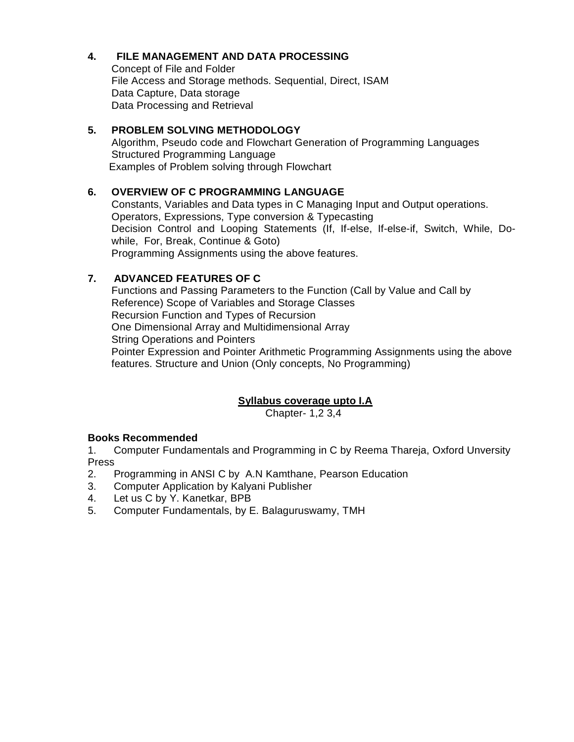## **4. FILE MANAGEMENT AND DATA PROCESSING**

Concept of File and Folder File Access and Storage methods. Sequential, Direct, ISAM Data Capture, Data storage Data Processing and Retrieval

## **5. PROBLEM SOLVING METHODOLOGY**

Algorithm, Pseudo code and Flowchart Generation of Programming Languages Structured Programming Language Examples of Problem solving through Flowchart

## **6. OVERVIEW OF C PROGRAMMING LANGUAGE**

Constants, Variables and Data types in C Managing Input and Output operations. Operators, Expressions, Type conversion & Typecasting Decision Control and Looping Statements (If, If-else, If-else-if, Switch, While, Dowhile, For, Break, Continue & Goto) Programming Assignments using the above features.

## **7. ADVANCED FEATURES OF C**

Functions and Passing Parameters to the Function (Call by Value and Call by Reference) Scope of Variables and Storage Classes Recursion Function and Types of Recursion One Dimensional Array and Multidimensional Array String Operations and Pointers Pointer Expression and Pointer Arithmetic Programming Assignments using the above features. Structure and Union (Only concepts, No Programming)

## **Syllabus coverage upto I.A**

Chapter- 1,2 3,4

## **Books Recommended**

1. Computer Fundamentals and Programming in C by Reema Thareja, Oxford Unversity Press

- 2. Programming in ANSI C by A.N Kamthane, Pearson Education
- 3. Computer Application by Kalyani Publisher
- 4. Let us C by Y. Kanetkar, BPB
- 5. Computer Fundamentals, by E. Balaguruswamy, TMH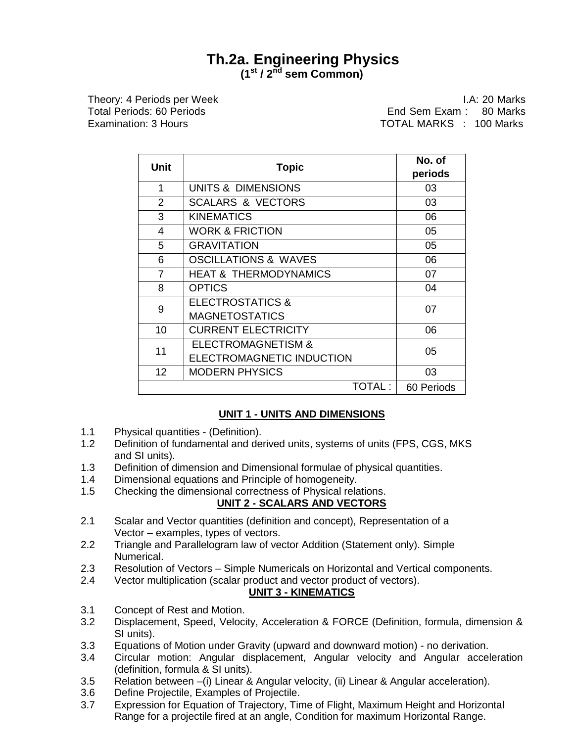## **Th.2a. Engineering Physics (1st / 2nd sem Common)**

Theory: 4 Periods per Week I.A: 20 Marks Total Periods: 60 Periods End Sem Exam : 80 Marks Examination: 3 Hours TOTAL MARKS : 100 Marks

|                | Unit<br><b>Topic</b>             |            |
|----------------|----------------------------------|------------|
|                |                                  | periods    |
| 1              | <b>UNITS &amp; DIMENSIONS</b>    | 03         |
| $\overline{2}$ | <b>SCALARS &amp; VECTORS</b>     | 03         |
| 3              | <b>KINEMATICS</b>                | 06         |
| 4              | <b>WORK &amp; FRICTION</b>       | 05         |
| 5              | <b>GRAVITATION</b>               | 05         |
| 6              | <b>OSCILLATIONS &amp; WAVES</b>  | 06         |
| $\overline{7}$ | <b>HEAT &amp; THERMODYNAMICS</b> | 07         |
| 8              | <b>OPTICS</b>                    | 04         |
| 9              | <b>ELECTROSTATICS &amp;</b>      | 07         |
|                | <b>MAGNETOSTATICS</b>            |            |
| 10             | <b>CURRENT ELECTRICITY</b>       | 06         |
| 11             | <b>ELECTROMAGNETISM &amp;</b>    | 05         |
|                | ELECTROMAGNETIC INDUCTION        |            |
| 12             | <b>MODERN PHYSICS</b>            | 03         |
|                | TOTAL:                           | 60 Periods |

## **UNIT 1 - UNITS AND DIMENSIONS**

- 1.1 Physical quantities (Definition).
- 1.2 Definition of fundamental and derived units, systems of units (FPS, CGS, MKS and SI units).
- 1.3 Definition of dimension and Dimensional formulae of physical quantities.
- 1.4 Dimensional equations and Principle of homogeneity.
- 1.5 Checking the dimensional correctness of Physical relations.

## **UNIT 2 - SCALARS AND VECTORS**

- 2.1 Scalar and Vector quantities (definition and concept), Representation of a Vector – examples, types of vectors.
- 2.2 Triangle and Parallelogram law of vector Addition (Statement only). Simple Numerical.
- 2.3 Resolution of Vectors Simple Numericals on Horizontal and Vertical components.
- 2.4 Vector multiplication (scalar product and vector product of vectors).

### **UNIT 3 - KINEMATICS**

- 3.1 Concept of Rest and Motion.
- 3.2 Displacement, Speed, Velocity, Acceleration & FORCE (Definition, formula, dimension & SI units).
- 3.3 Equations of Motion under Gravity (upward and downward motion) no derivation.
- 3.4 Circular motion: Angular displacement, Angular velocity and Angular acceleration (definition, formula & SI units).
- 3.5 Relation between –(i) Linear & Angular velocity, (ii) Linear & Angular acceleration).
- 3.6 Define Projectile, Examples of Projectile.
- 3.7 Expression for Equation of Trajectory, Time of Flight, Maximum Height and Horizontal Range for a projectile fired at an angle, Condition for maximum Horizontal Range.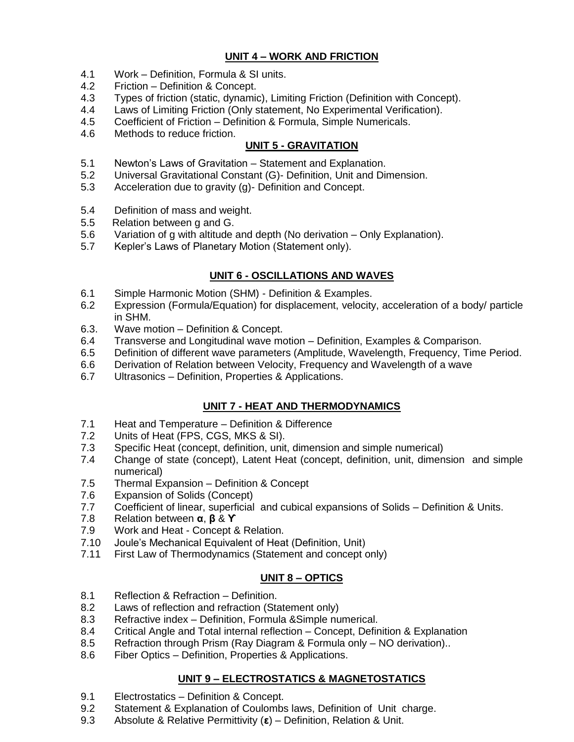## **UNIT 4 – WORK AND FRICTION**

- 4.1 Work Definition, Formula & SI units.
- 4.2 Friction Definition & Concept.
- 4.3 Types of friction (static, dynamic), Limiting Friction (Definition with Concept).
- 4.4 Laws of Limiting Friction (Only statement, No Experimental Verification).
- 4.5 Coefficient of Friction Definition & Formula, Simple Numericals.
- 4.6 Methods to reduce friction.

## **UNIT 5 - GRAVITATION**

- 5.1 Newton's Laws of Gravitation Statement and Explanation.
- 5.2 Universal Gravitational Constant (G)- Definition, Unit and Dimension.
- 5.3 Acceleration due to gravity (g)- Definition and Concept.
- 5.4 Definition of mass and weight.
- 5.5 Relation between g and G.
- 5.6 Variation of g with altitude and depth (No derivation Only Explanation).
- 5.7 Kepler's Laws of Planetary Motion (Statement only).

## **UNIT 6 - OSCILLATIONS AND WAVES**

- 6.1 Simple Harmonic Motion (SHM) Definition & Examples.
- 6.2 Expression (Formula/Equation) for displacement, velocity, acceleration of a body/ particle in SHM.
- 6.3. Wave motion Definition & Concept.
- 6.4 Transverse and Longitudinal wave motion Definition, Examples & Comparison.
- 6.5 Definition of different wave parameters (Amplitude, Wavelength, Frequency, Time Period.
- 6.6 Derivation of Relation between Velocity, Frequency and Wavelength of a wave
- 6.7 Ultrasonics Definition, Properties & Applications.

## **UNIT 7 - HEAT AND THERMODYNAMICS**

- 7.1 Heat and Temperature Definition & Difference
- 7.2 Units of Heat (FPS, CGS, MKS & SI).
- 7.3 Specific Heat (concept, definition, unit, dimension and simple numerical)
- 7.4 Change of state (concept), Latent Heat (concept, definition, unit, dimension and simple numerical)
- 7.5 Thermal Expansion Definition & Concept
- 7.6 Expansion of Solids (Concept)
- 7.7 Coefficient of linear, superficial and cubical expansions of Solids Definition & Units.
- 7.8 Relation between **α**, **β** & **ϒ**
- 7.9 Work and Heat Concept & Relation.
- 7.10 Joule's Mechanical Equivalent of Heat (Definition, Unit)
- 7.11 First Law of Thermodynamics (Statement and concept only)

## **UNIT 8 – OPTICS**

- 8.1 Reflection & Refraction Definition.
- 8.2 Laws of reflection and refraction (Statement only)
- 8.3 Refractive index Definition, Formula &Simple numerical.
- 8.4 Critical Angle and Total internal reflection Concept, Definition & Explanation
- 8.5 Refraction through Prism (Ray Diagram & Formula only NO derivation)..
- 8.6 Fiber Optics Definition, Properties & Applications.

## **UNIT 9 – ELECTROSTATICS & MAGNETOSTATICS**

- 9.1 Electrostatics Definition & Concept.
- 9.2 Statement & Explanation of Coulombs laws, Definition of Unit charge.
- 9.3 Absolute & Relative Permittivity (**ε**) Definition, Relation & Unit.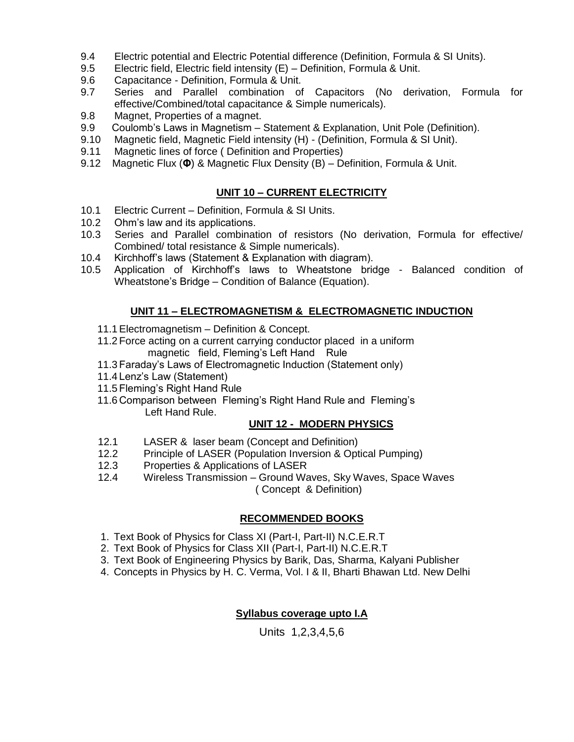- 9.4 Electric potential and Electric Potential difference (Definition, Formula & SI Units).
- 9.5 Electric field, Electric field intensity (E) Definition, Formula & Unit.
- 9.6 Capacitance Definition, Formula & Unit.
- 9.7 Series and Parallel combination of Capacitors (No derivation, Formula for effective/Combined/total capacitance & Simple numericals).
- 9.8 Magnet, Properties of a magnet.
- 9.9 Coulomb's Laws in Magnetism Statement & Explanation, Unit Pole (Definition).
- 9.10 Magnetic field, Magnetic Field intensity (H) (Definition, Formula & SI Unit).
- 9.11 Magnetic lines of force ( Definition and Properties)
- 9.12 Magnetic Flux (**Φ**) & Magnetic Flux Density (B) Definition, Formula & Unit.

## **UNIT 10 – CURRENT ELECTRICITY**

- 10.1 Electric Current Definition, Formula & SI Units.
- 10.2 Ohm's law and its applications.
- 10.3 Series and Parallel combination of resistors (No derivation, Formula for effective/ Combined/ total resistance & Simple numericals).
- 10.4 Kirchhoff's laws (Statement & Explanation with diagram).
- 10.5 Application of Kirchhoff's laws to Wheatstone bridge Balanced condition of Wheatstone's Bridge – Condition of Balance (Equation).

## **UNIT 11 – ELECTROMAGNETISM & ELECTROMAGNETIC INDUCTION**

- 11.1Electromagnetism Definition & Concept.
- 11.2 Force acting on a current carrying conductor placed in a uniform magnetic field, Fleming's Left Hand Rule
- 11.3 Faraday's Laws of Electromagnetic Induction (Statement only)
- 11.4 Lenz's Law (Statement)
- 11.5 Fleming's Right Hand Rule
- 11.6 Comparison between Fleming's Right Hand Rule and Fleming's Left Hand Rule.

### **UNIT 12 - MODERN PHYSICS**

- 12.1 LASER & laser beam (Concept and Definition)
- 12.2 Principle of LASER (Population Inversion & Optical Pumping)
- 12.3 Properties & Applications of LASER
- 12.4 Wireless Transmission Ground Waves, Sky Waves, Space Waves ( Concept & Definition)

## **RECOMMENDED BOOKS**

- 1. Text Book of Physics for Class XI (Part-I, Part-II) N.C.E.R.T
- 2. Text Book of Physics for Class XII (Part-I, Part-II) N.C.E.R.T
- 3. Text Book of Engineering Physics by Barik, Das, Sharma, Kalyani Publisher
- 4. Concepts in Physics by H. C. Verma, Vol. I & II, Bharti Bhawan Ltd. New Delhi

## **Syllabus coverage upto I.A**

Units 1,2,3,4,5,6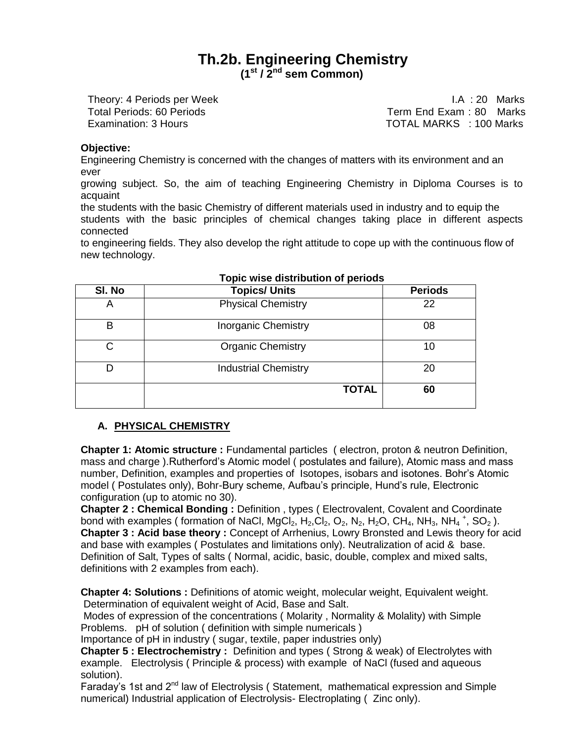## **Th.2b. Engineering Chemistry (1st / 2nd sem Common)**

Theory: 4 Periods per Week **I.A.** Solution of the U.A. 20 Marks

Total Periods: 60 Periods<br>
Examination: 3 Hours<br>
Examination: 3 Hours TOTAL MARKS : 100 Marks

#### **Objective:**

Engineering Chemistry is concerned with the changes of matters with its environment and an ever

growing subject. So, the aim of teaching Engineering Chemistry in Diploma Courses is to acquaint

the students with the basic Chemistry of different materials used in industry and to equip the students with the basic principles of chemical changes taking place in different aspects connected

to engineering fields. They also develop the right attitude to cope up with the continuous flow of new technology.

| SI. No | <b>Topics/ Units</b>        | <b>Periods</b> |
|--------|-----------------------------|----------------|
| A      | <b>Physical Chemistry</b>   | 22             |
| В      | <b>Inorganic Chemistry</b>  | 08             |
| С      | <b>Organic Chemistry</b>    | 10             |
| D      | <b>Industrial Chemistry</b> | 20             |
|        | <b>TOTAL</b>                | 60             |

#### **Topic wise distribution of periods**

### **A. PHYSICAL CHEMISTRY**

**Chapter 1: Atomic structure :** Fundamental particles ( electron, proton & neutron Definition, mass and charge ).Rutherford's Atomic model ( postulates and failure), Atomic mass and mass number, Definition, examples and properties of Isotopes, isobars and isotones. Bohr's Atomic model ( Postulates only), Bohr-Bury scheme, Aufbau's principle, Hund's rule, Electronic configuration (up to atomic no 30).

**Chapter 2 : Chemical Bonding : Definition, types (Electrovalent, Covalent and Coordinate** bond with examples (formation of NaCl, MgCl<sub>2</sub>, H<sub>2</sub>,Cl<sub>2</sub>, O<sub>2</sub>, N<sub>2</sub>, H<sub>2</sub>O, CH<sub>4</sub>, NH<sub>3</sub>, NH<sub>4</sub><sup>+</sup>, SO<sub>2</sub>). **Chapter 3 : Acid base theory :** Concept of Arrhenius, Lowry Bronsted and Lewis theory for acid and base with examples ( Postulates and limitations only). Neutralization of acid & base. Definition of Salt, Types of salts ( Normal, acidic, basic, double, complex and mixed salts, definitions with 2 examples from each).

**Chapter 4: Solutions :** Definitions of atomic weight, molecular weight, Equivalent weight. Determination of equivalent weight of Acid, Base and Salt.

Modes of expression of the concentrations ( Molarity , Normality & Molality) with Simple Problems. pH of solution ( definition with simple numericals )

Importance of pH in industry ( sugar, textile, paper industries only)

**Chapter 5 : Electrochemistry :** Definition and types ( Strong & weak) of Electrolytes with example. Electrolysis ( Principle & process) with example of NaCl (fused and aqueous solution).

Faraday's 1st and 2<sup>nd</sup> law of Electrolysis (Statement, mathematical expression and Simple numerical) Industrial application of Electrolysis- Electroplating ( Zinc only).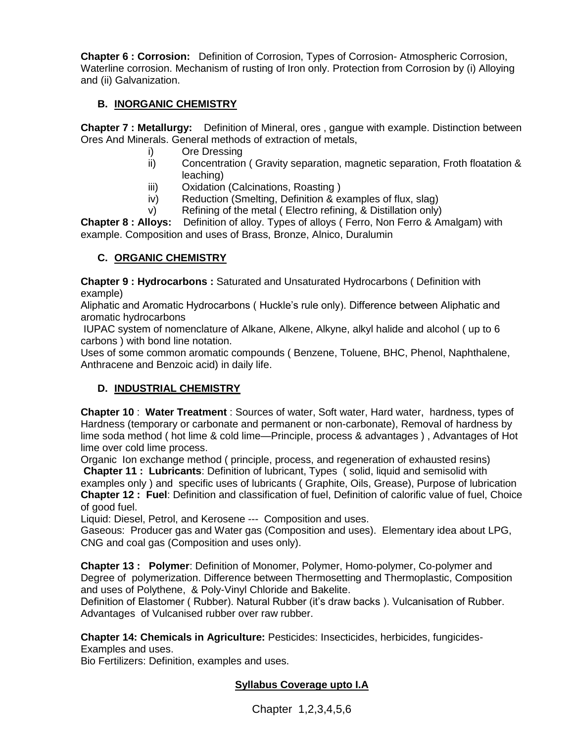**Chapter 6 : Corrosion:** Definition of Corrosion, Types of Corrosion- Atmospheric Corrosion, Waterline corrosion. Mechanism of rusting of Iron only. Protection from Corrosion by (i) Alloying and (ii) Galvanization.

## **B. INORGANIC CHEMISTRY**

**Chapter 7 : Metallurgy:** Definition of Mineral, ores , gangue with example. Distinction between Ores And Minerals. General methods of extraction of metals,

- i) Ore Dressing
- ii) Concentration ( Gravity separation, magnetic separation, Froth floatation & leaching)
- iii) Oxidation (Calcinations, Roasting )
- iv) Reduction (Smelting, Definition & examples of flux, slag)
- v) Refining of the metal ( Electro refining, & Distillation only)

**Chapter 8 : Alloys:** Definition of alloy. Types of alloys ( Ferro, Non Ferro & Amalgam) with example. Composition and uses of Brass, Bronze, Alnico, Duralumin

## **C. ORGANIC CHEMISTRY**

**Chapter 9 : Hydrocarbons :** Saturated and Unsaturated Hydrocarbons ( Definition with example)

Aliphatic and Aromatic Hydrocarbons ( Huckle's rule only). Difference between Aliphatic and aromatic hydrocarbons

IUPAC system of nomenclature of Alkane, Alkene, Alkyne, alkyl halide and alcohol ( up to 6 carbons ) with bond line notation.

Uses of some common aromatic compounds ( Benzene, Toluene, BHC, Phenol, Naphthalene, Anthracene and Benzoic acid) in daily life.

## **D. INDUSTRIAL CHEMISTRY**

**Chapter 10** : **Water Treatment** : Sources of water, Soft water, Hard water, hardness, types of Hardness (temporary or carbonate and permanent or non-carbonate), Removal of hardness by lime soda method ( hot lime & cold lime—Principle, process & advantages ) , Advantages of Hot lime over cold lime process.

Organic Ion exchange method ( principle, process, and regeneration of exhausted resins) **Chapter 11 : Lubricants**: Definition of lubricant, Types ( solid, liquid and semisolid with examples only ) and specific uses of lubricants ( Graphite, Oils, Grease), Purpose of lubrication **Chapter 12 : Fuel**: Definition and classification of fuel, Definition of calorific value of fuel, Choice of good fuel.

Liquid: Diesel, Petrol, and Kerosene --- Composition and uses.

Gaseous: Producer gas and Water gas (Composition and uses). Elementary idea about LPG, CNG and coal gas (Composition and uses only).

**Chapter 13 : Polymer**: Definition of Monomer, Polymer, Homo-polymer, Co-polymer and Degree of polymerization. Difference between Thermosetting and Thermoplastic, Composition and uses of Polythene, & Poly-Vinyl Chloride and Bakelite.

Definition of Elastomer ( Rubber). Natural Rubber (it's draw backs ). Vulcanisation of Rubber. Advantages of Vulcanised rubber over raw rubber.

**Chapter 14: Chemicals in Agriculture:** Pesticides: Insecticides, herbicides, fungicides-Examples and uses.

Bio Fertilizers: Definition, examples and uses.

## **Syllabus Coverage upto I.A**

Chapter 1,2,3,4,5,6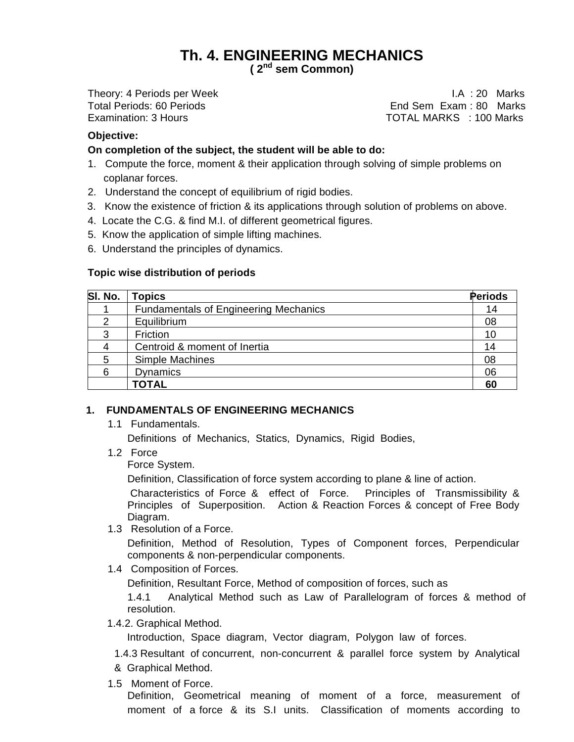# **Th. 4. ENGINEERING MECHANICS**

**( 2 nd sem Common)**

Theory: 4 Periods per Week I.A : 20 Marks End Sem Exam : 80 Marks Examination: 3 Hours TOTAL MARKS : 100 Marks

### **Objective:**

#### **On completion of the subject, the student will be able to do:**

- 1. Compute the force, moment & their application through solving of simple problems on coplanar forces.
- 2. Understand the concept of equilibrium of rigid bodies.
- 3. Know the existence of friction & its applications through solution of problems on above.
- 4. Locate the C.G. & find M.I. of different geometrical figures.
- 5. Know the application of simple lifting machines.
- 6. Understand the principles of dynamics.

#### **Topic wise distribution of periods**

| SI. No. | <b>Topics</b>                                | Periods |
|---------|----------------------------------------------|---------|
|         | <b>Fundamentals of Engineering Mechanics</b> | 14      |
| 2       | Equilibrium                                  | 08      |
| 3       | Friction                                     | 10      |
|         | Centroid & moment of Inertia                 | 14      |
| 5       | Simple Machines                              | 08      |
| ี       | <b>Dynamics</b>                              | 06      |
|         | <b>TOTAL</b>                                 | 60      |

#### **1. FUNDAMENTALS OF ENGINEERING MECHANICS**

1.1 Fundamentals.

Definitions of Mechanics, Statics, Dynamics, Rigid Bodies,

1.2 Force

Force System.

Definition, Classification of force system according to plane & line of action.

Characteristics of Force & effect of Force. Principles of Transmissibility & Principles of Superposition. Action & Reaction Forces & concept of Free Body Diagram.

1.3 Resolution of a Force.

Definition, Method of Resolution, Types of Component forces, Perpendicular components & non-perpendicular components.

1.4 Composition of Forces.

Definition, Resultant Force, Method of composition of forces, such as

1.4.1 Analytical Method such as Law of Parallelogram of forces & method of resolution.

1.4.2. Graphical Method.

Introduction, Space diagram, Vector diagram, Polygon law of forces.

1.4.3 Resultant of concurrent, non-concurrent & parallel force system by Analytical & Graphical Method.

1.5 Moment of Force.

Definition, Geometrical meaning of moment of a force, measurement of moment of a force & its S.I units. Classification of moments according to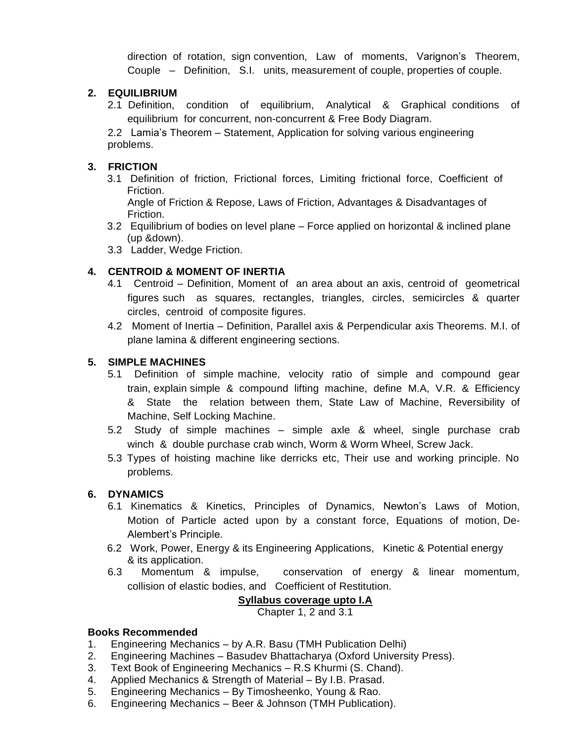direction of rotation, sign convention, Law of moments, Varignon's Theorem, Couple – Definition, S.I. units, measurement of couple, properties of couple.

## **2. EQUILIBRIUM**

2.1 Definition, condition of equilibrium, Analytical & Graphical conditions of equilibrium for concurrent, non-concurrent & Free Body Diagram.

2.2 Lamia's Theorem – Statement, Application for solving various engineering problems.

## **3. FRICTION**

3.1 Definition of friction, Frictional forces, Limiting frictional force, Coefficient of Friction.

Angle of Friction & Repose, Laws of Friction, Advantages & Disadvantages of Friction.

- 3.2 Equilibrium of bodies on level plane Force applied on horizontal & inclined plane (up &down).
- 3.3 Ladder, Wedge Friction.

## **4. CENTROID & MOMENT OF INERTIA**

- 4.1 Centroid Definition, Moment of an area about an axis, centroid of geometrical figures such as squares, rectangles, triangles, circles, semicircles & quarter circles, centroid of composite figures.
- 4.2 Moment of Inertia Definition, Parallel axis & Perpendicular axis Theorems. M.I. of plane lamina & different engineering sections.

## **5. SIMPLE MACHINES**

- 5.1 Definition of simple machine, velocity ratio of simple and compound gear train, explain simple & compound lifting machine, define M.A, V.R. & Efficiency & State the relation between them, State Law of Machine, Reversibility of Machine, Self Locking Machine.
- 5.2 Study of simple machines simple axle & wheel, single purchase crab winch & double purchase crab winch, Worm & Worm Wheel, Screw Jack.
- 5.3 Types of hoisting machine like derricks etc, Their use and working principle. No problems.

## **6. DYNAMICS**

- 6.1 Kinematics & Kinetics, Principles of Dynamics, Newton's Laws of Motion, Motion of Particle acted upon by a constant force, Equations of motion, De-Alembert's Principle.
- 6.2 Work, Power, Energy & its Engineering Applications, Kinetic & Potential energy & its application.
- 6.3 Momentum & impulse, conservation of energy & linear momentum, collision of elastic bodies, and Coefficient of Restitution.

## **Syllabus coverage upto I.A**

Chapter 1, 2 and 3.1

## **Books Recommended**

- 1. Engineering Mechanics by A.R. Basu (TMH Publication Delhi)
- 2. Engineering Machines Basudev Bhattacharya (Oxford University Press).
- 3. Text Book of Engineering Mechanics R.S Khurmi (S. Chand).
- 4. Applied Mechanics & Strength of Material By I.B. Prasad.
- 5. Engineering Mechanics By Timosheenko, Young & Rao.
- 6. Engineering Mechanics Beer & Johnson (TMH Publication).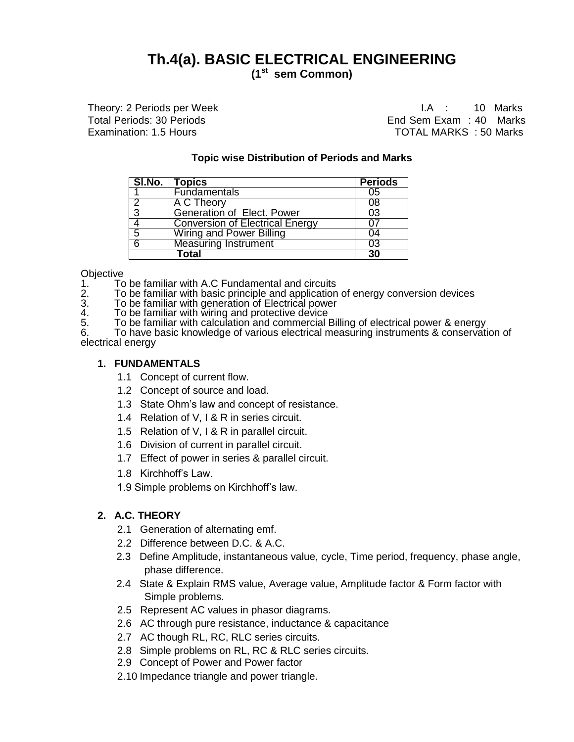# **Th.4(a). BASIC ELECTRICAL ENGINEERING**

**(1st sem Common)**

Theory: 2 Periods per Week **I.A.** : 10 Marks

Total Periods: 30 Periods End Sem Exam : 40 Marks Examination: 1.5 Hours **TOTAL MARKS** : 50 Marks

#### **Topic wise Distribution of Periods and Marks**

|   | SI.No.   Topics                        | <b>Periods</b> |
|---|----------------------------------------|----------------|
|   | <b>Fundamentals</b>                    | 05             |
| 2 | A C Theory                             | 08             |
| 3 | <b>Generation of Elect. Power</b>      | 03             |
|   | <b>Conversion of Electrical Energy</b> |                |
| 5 | <b>Wiring and Power Billing</b>        | 04             |
| 6 | <b>Measuring Instrument</b>            | 03             |
|   | <b>Cotal</b>                           | 30             |

**Objective** 

1. To be familiar with A.C Fundamental and circuits<br>2. To be familiar with basic principle and application

2. To be familiar with basic principle and application of energy conversion devices

3. To be familiar with generation of Electrical power

4. To be familiar with wiring and protective device

5. To be familiar with calculation and commercial Billing of electrical power & energy

6. To have basic knowledge of various electrical measuring instruments & conservation of electrical energy

#### **1. FUNDAMENTALS**

- 1.1 Concept of current flow.
- 1.2 Concept of source and load.
- 1.3 State Ohm's law and concept of resistance.
- 1.4 Relation of V, I & R in series circuit.
- 1.5 Relation of V, I & R in parallel circuit.
- 1.6 Division of current in parallel circuit.
- 1.7 Effect of power in series & parallel circuit.
- 1.8 Kirchhoff's Law.
- 1.9 Simple problems on Kirchhoff's law.

### **2. A.C. THEORY**

- 2.1 Generation of alternating emf.
- 2.2 Difference between D.C. & A.C.
- 2.3 Define Amplitude, instantaneous value, cycle, Time period, frequency, phase angle, phase difference.
- 2.4 State & Explain RMS value, Average value, Amplitude factor & Form factor with Simple problems.
- 2.5 Represent AC values in phasor diagrams.
- 2.6 AC through pure resistance, inductance & capacitance
- 2.7 AC though RL, RC, RLC series circuits.
- 2.8 Simple problems on RL, RC & RLC series circuits.
- 2.9 Concept of Power and Power factor
- 2.10 Impedance triangle and power triangle.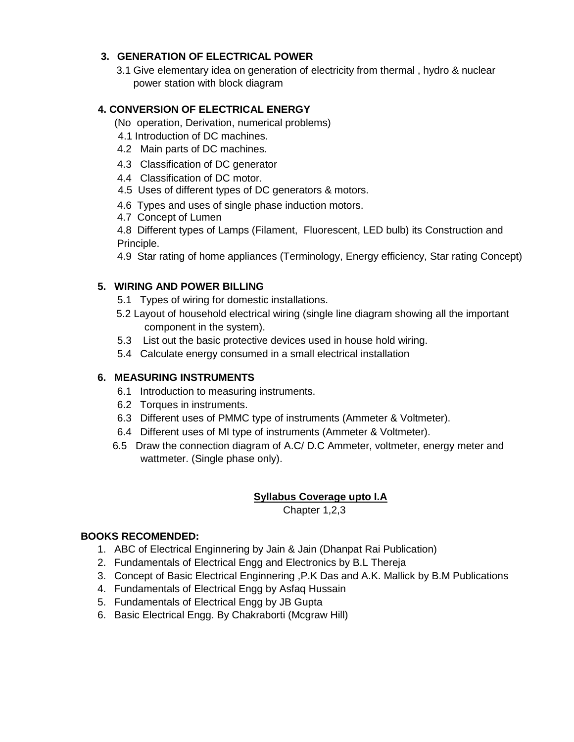## **3. GENERATION OF ELECTRICAL POWER**

3.1 Give elementary idea on generation of electricity from thermal , hydro & nuclear power station with block diagram

## **4. CONVERSION OF ELECTRICAL ENERGY**

- (No operation, Derivation, numerical problems)
- 4.1 Introduction of DC machines.
- 4.2 Main parts of DC machines.
- 4.3 Classification of DC generator
- 4.4 Classification of DC motor.
- 4.5 Uses of different types of DC generators & motors.
- 4.6 Types and uses of single phase induction motors.
- 4.7 Concept of Lumen

4.8 Different types of Lamps (Filament, Fluorescent, LED bulb) its Construction and Principle.

4.9 Star rating of home appliances (Terminology, Energy efficiency, Star rating Concept)

## **5. WIRING AND POWER BILLING**

- 5.1 Types of wiring for domestic installations.
- 5.2 Layout of household electrical wiring (single line diagram showing all the important component in the system).
- 5.3 List out the basic protective devices used in house hold wiring.
- 5.4 Calculate energy consumed in a small electrical installation

## **6. MEASURING INSTRUMENTS**

- 6.1 Introduction to measuring instruments.
- 6.2 Torques in instruments.
- 6.3 Different uses of PMMC type of instruments (Ammeter & Voltmeter).
- 6.4 Different uses of MI type of instruments (Ammeter & Voltmeter).
- 6.5 Draw the connection diagram of A.C/ D.C Ammeter, voltmeter, energy meter and wattmeter. (Single phase only).

## **Syllabus Coverage upto I.A**

Chapter 1,2,3

## **BOOKS RECOMENDED:**

- 1. ABC of Electrical Enginnering by Jain & Jain (Dhanpat Rai Publication)
- 2. Fundamentals of Electrical Engg and Electronics by B.L Thereja
- 3. Concept of Basic Electrical Enginnering ,P.K Das and A.K. Mallick by B.M Publications
- 4. Fundamentals of Electrical Engg by Asfaq Hussain
- 5. Fundamentals of Electrical Engg by JB Gupta
- 6. Basic Electrical Engg. By Chakraborti (Mcgraw Hill)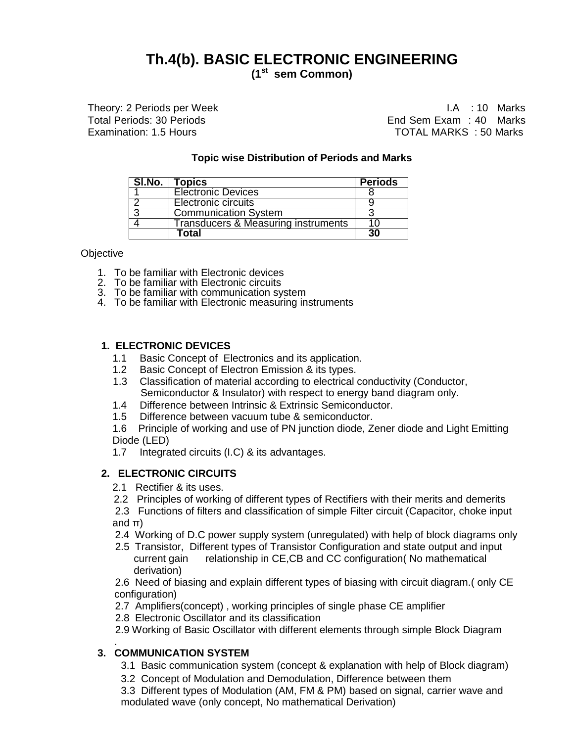# **Th.4(b). BASIC ELECTRONIC ENGINEERING**

**(1st sem Common)**

Theory: 2 Periods per Week I.A : 10 Marks

Total Periods: 30 Periods End Sem Exam : 40 Marks Examination: 1.5 Hours TOTAL MARKS : 50 Marks

#### **Topic wise Distribution of Periods and Marks**

| <b>SI.No.</b> | Topics                                         | <b>Periods</b> |
|---------------|------------------------------------------------|----------------|
|               | <b>Electronic Devices</b>                      |                |
|               | <b>Electronic circuits</b>                     |                |
| ີ             | <b>Communication System</b>                    |                |
|               | <b>Transducers &amp; Measuring instruments</b> |                |
|               | Total                                          | วก             |

**Objective** 

- 1. To be familiar with Electronic devices
- 2. To be familiar with Electronic circuits
- 3. To be familiar with communication system
- 4. To be familiar with Electronic measuring instruments

#### **1. ELECTRONIC DEVICES**

- 1.1 Basic Concept of Electronics and its application.
- 1.2 Basic Concept of Electron Emission & its types.
- 1.3 Classification of material according to electrical conductivity (Conductor, Semiconductor & Insulator) with respect to energy band diagram only.
- 1.4 Difference between Intrinsic & Extrinsic Semiconductor.
- 1.5 Difference between vacuum tube & semiconductor.

1.6 Principle of working and use of PN junction diode, Zener diode and Light Emitting Diode (LED)

1.7 Integrated circuits (I.C) & its advantages.

### **2. ELECTRONIC CIRCUITS**

- 2.1 Rectifier & its uses.
- 2.2 Principles of working of different types of Rectifiers with their merits and demerits
- 2.3 Functions of filters and classification of simple Filter circuit (Capacitor, choke input and π)
- 2.4 Working of D.C power supply system (unregulated) with help of block diagrams only
- 2.5 Transistor, Different types of Transistor Configuration and state output and input current gain relationship in CE,CB and CC configuration( No mathematical derivation)

2.6 Need of biasing and explain different types of biasing with circuit diagram.( only CE configuration)

2.7 Amplifiers(concept) , working principles of single phase CE amplifier

2.8 Electronic Oscillator and its classification

2.9 Working of Basic Oscillator with different elements through simple Block Diagram

#### . **3. COMMUNICATION SYSTEM**

- 3.1 Basic communication system (concept & explanation with help of Block diagram)
- 3.2 Concept of Modulation and Demodulation, Difference between them

3.3 Different types of Modulation (AM, FM & PM) based on signal, carrier wave and modulated wave (only concept, No mathematical Derivation)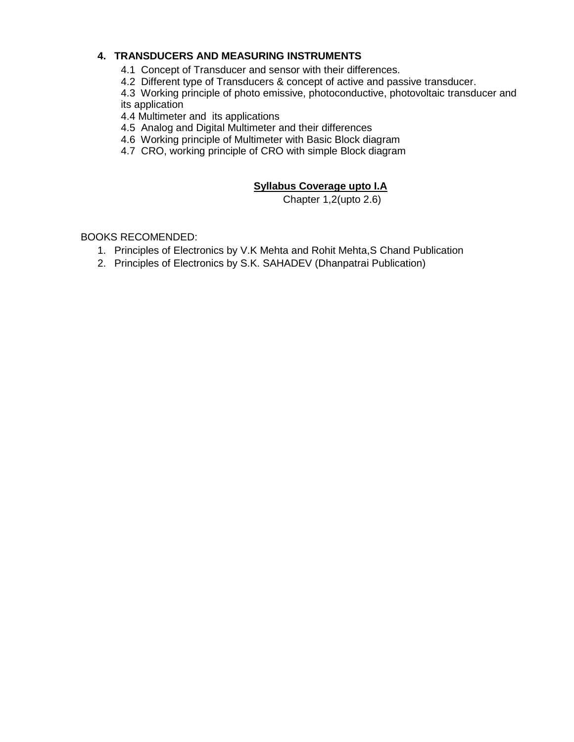## **4. TRANSDUCERS AND MEASURING INSTRUMENTS**

- 4.1 Concept of Transducer and sensor with their differences.
- 4.2 Different type of Transducers & concept of active and passive transducer.

4.3 Working principle of photo emissive, photoconductive, photovoltaic transducer and its application

4.4 Multimeter and its applications

- 4.5 Analog and Digital Multimeter and their differences
- 4.6 Working principle of Multimeter with Basic Block diagram
- 4.7 CRO, working principle of CRO with simple Block diagram

## **Syllabus Coverage upto I.A**

Chapter 1,2(upto 2.6)

BOOKS RECOMENDED:

- 1. Principles of Electronics by V.K Mehta and Rohit Mehta,S Chand Publication
- 2. Principles of Electronics by S.K. SAHADEV (Dhanpatrai Publication)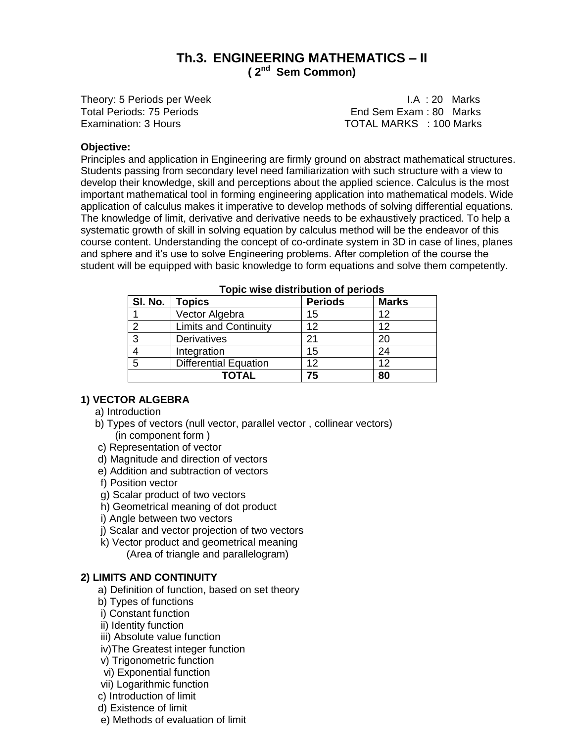## **Th.3. ENGINEERING MATHEMATICS – II ( 2 nd Sem Common)**

Theory: 5 Periods per Week **I.A.** Solution 1.A. : 20 Marks Total Periods: 75 Periods **End Sem Exam : 80 Marks** Examination: 3 Hours **TOTAL MARKS** : 100 Marks

#### **Objective:**

Principles and application in Engineering are firmly ground on abstract mathematical structures. Students passing from secondary level need familiarization with such structure with a view to develop their knowledge, skill and perceptions about the applied science. Calculus is the most important mathematical tool in forming engineering application into mathematical models. Wide application of calculus makes it imperative to develop methods of solving differential equations. The knowledge of limit, derivative and derivative needs to be exhaustively practiced. To help a systematic growth of skill in solving equation by calculus method will be the endeavor of this course content. Understanding the concept of co-ordinate system in 3D in case of lines, planes and sphere and it's use to solve Engineering problems. After completion of the course the student will be equipped with basic knowledge to form equations and solve them competently.

| SI. No. | <b>Topics</b>                | <b>Periods</b> | <b>Marks</b> |
|---------|------------------------------|----------------|--------------|
|         | Vector Algebra               | 15             | 12           |
| ົ       | <b>Limits and Continuity</b> | 12             | 12           |
| 3       | Derivatives                  | 21             | 20           |
|         | Integration                  | 15             | 24           |
| 5       | <b>Differential Equation</b> | 12             | 12           |
|         | TOTAL                        | 75             | 80           |

#### **Topic wise distribution of periods**

### **1) VECTOR ALGEBRA**

- a) Introduction
- b) Types of vectors (null vector, parallel vector , collinear vectors) (in component form )
- c) Representation of vector
- d) Magnitude and direction of vectors
- e) Addition and subtraction of vectors
- f) Position vector
- g) Scalar product of two vectors
- h) Geometrical meaning of dot product
- i) Angle between two vectors
- j) Scalar and vector projection of two vectors
- k) Vector product and geometrical meaning
	- (Area of triangle and parallelogram)

### **2) LIMITS AND CONTINUITY**

- a) Definition of function, based on set theory
- b) Types of functions
- i) Constant function
- ii) Identity function
- iii) Absolute value function
- iv)The Greatest integer function
- v) Trigonometric function
- vi) Exponential function
- vii) Logarithmic function
- c) Introduction of limit
- d) Existence of limit
- e) Methods of evaluation of limit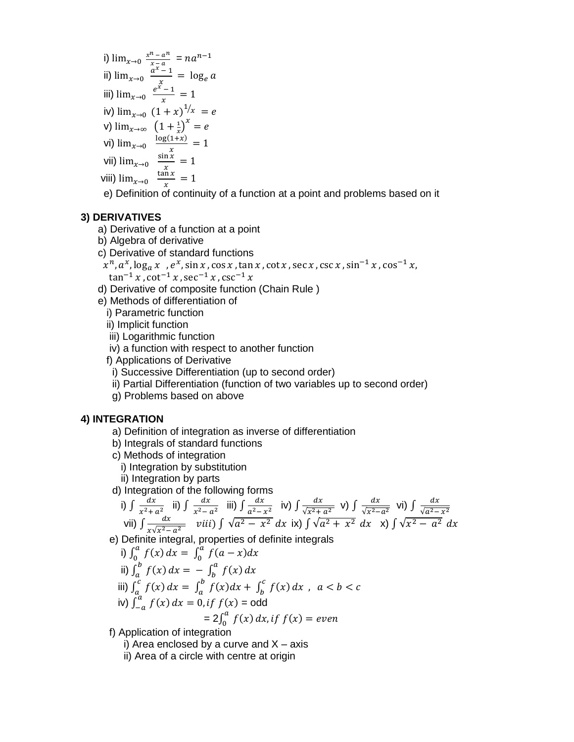- i)  $\lim_{x\to 0} \frac{x^n a^n}{x}$  $\frac{n-a^n}{x-a} = na^n$ ii)  $\lim_{x\to 0} \frac{a^x}{x}$  $\frac{-1}{x}$  = iii)  $\lim_{x\to 0} \frac{e^x}{e^x}$  $\frac{-1}{x} =$ iv)  $\lim_{x\to 0} (1+x)^{1/x}$ v)  $\lim_{x\to\infty} (1 + \frac{1}{x})$  $\left(\frac{1}{x}\right)^x$  = vi)  $\lim_{x\to 0}$ <sup> $\frac{1}{x}$ </sup>  $\frac{1+x}{x}$  = vii)  $\lim_{x\to 0} \frac{s}{x}$  $\frac{11x}{x}$  = viii)  $\lim_{x\to 0}$   $\frac{t}{x}$  $\frac{11x}{x}$  =
	- e) Definition of continuity of a function at a point and problems based on it

#### **3) DERIVATIVES**

- a) Derivative of a function at a point
- b) Algebra of derivative
- c) Derivative of standard functions

$$
x^n
$$
,  $a^x$ ,  $\log_a x$ ,  $e^x$ ,  $\sin x$ ,  $\cos x$ ,  $\tan x$ ,  $\cot x$ ,  $\sec x$ ,  $\csc x$ ,  $\sin^{-1} x$ ,  $\cos^{-1} x$ ,  
 $\tan^{-1} x$ ,  $\cot^{-1} x$ ,  $\sec^{-1} x$ ,  $\csc^{-1} x$ 

- d) Derivative of composite function (Chain Rule )
- e) Methods of differentiation of
	- i) Parametric function
	- ii) Implicit function
	- iii) Logarithmic function
	- iv) a function with respect to another function
	- f) Applications of Derivative
	- i) Successive Differentiation (up to second order)
	- ii) Partial Differentiation (function of two variables up to second order)
	- g) Problems based on above

#### **4) INTEGRATION**

- a) Definition of integration as inverse of differentiation
- b) Integrals of standard functions
- c) Methods of integration
	- i) Integration by substitution
- ii) Integration by parts

d) Integration of the following forms

i) 
$$
\int \frac{dx}{x^2 + a^2}
$$
 ii)  $\int \frac{dx}{x^2 - a^2}$  iii)  $\int \frac{dx}{a^2 - x^2}$  iv)  $\int \frac{dx}{\sqrt{x^2 + a^2}}$  v)  $\int \frac{dx}{\sqrt{x^2 - a^2}}$  vi)  $\int \frac{dx}{\sqrt{a^2 - x^2}}$   
vii)  $\int \frac{dx}{x\sqrt{x^2 - a^2}}$  viii)  $\int \sqrt{a^2 - x^2} dx$  ix)  $\int \sqrt{a^2 + x^2} dx$  x)  $\int \sqrt{x^2 - a^2} dx$ 

e) Definite integral, properties of definite integrals

i) 
$$
\int_0^a f(x) dx = \int_0^a f(a-x) dx
$$
  
\nii)  $\int_a^b f(x) dx = -\int_b^a f(x) dx$   
\niii)  $\int_a^c f(x) dx = \int_a^b f(x) dx + \int_b^c f(x) dx$ ,  $a < b < c$   
\niv)  $\int_{-a}^a f(x) dx = 0$ , if  $f(x) = \text{odd}$   
\n $= 2 \int_0^a f(x) dx$ , if  $f(x) = \text{even}$ 

f) Application of integration

- i) Area enclosed by a curve and  $X axis$
- ii) Area of a circle with centre at origin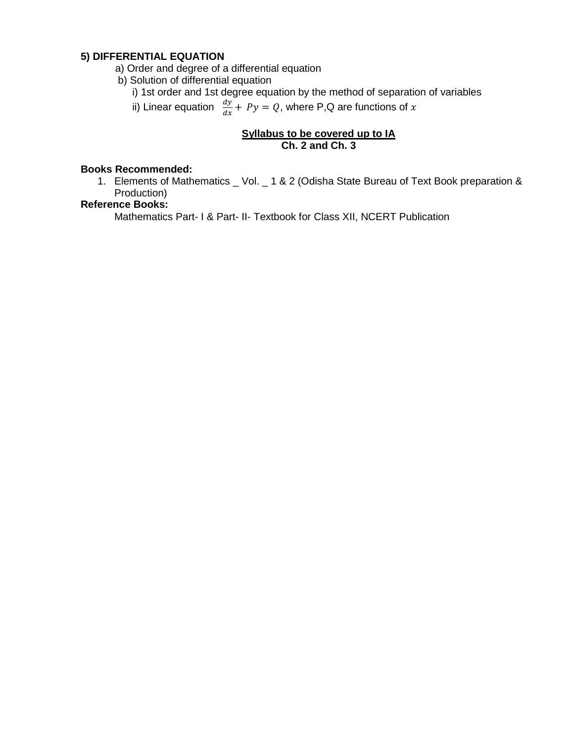## **5) DIFFERENTIAL EQUATION**

- a) Order and degree of a differential equation
- b) Solution of differential equation
	- i) 1st order and 1st degree equation by the method of separation of variables
- ii) Linear equation  $\frac{dy}{dx} + Py = Q$ , where P,Q are functions of

## **Syllabus to be covered up to IA Ch. 2 and Ch. 3**

#### **Books Recommended:**

1. Elements of Mathematics \_ Vol. \_ 1 & 2 (Odisha State Bureau of Text Book preparation & Production)

#### **Reference Books:**

Mathematics Part- I & Part- II- Textbook for Class XII, NCERT Publication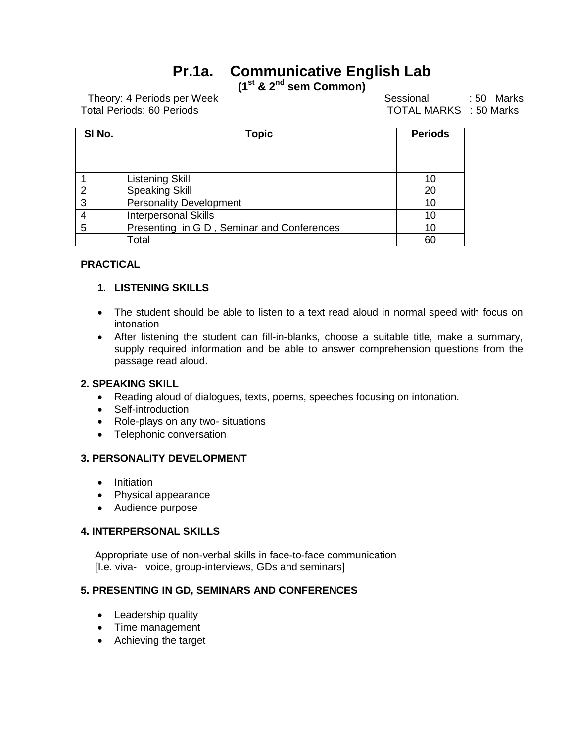# **Pr.1a. Communicative English Lab**

**(1st & 2nd sem Common)**

Theory: 4 Periods per Week Sessional : 50 Marks Total Periods: 60 Periods TOTAL MARKS : 50 Marks

| SI No. | <b>Topic</b>                               | <b>Periods</b> |
|--------|--------------------------------------------|----------------|
|        |                                            |                |
|        |                                            |                |
|        | <b>Listening Skill</b>                     | 10             |
| 2      | <b>Speaking Skill</b>                      | 20             |
| 3      | <b>Personality Development</b>             | 10             |
| 4      | <b>Interpersonal Skills</b>                | 10             |
| 5      | Presenting in G D, Seminar and Conferences | 10             |
|        | Total                                      | 60             |

## **PRACTICAL**

#### **1. LISTENING SKILLS**

- The student should be able to listen to a text read aloud in normal speed with focus on intonation
- After listening the student can fill-in-blanks, choose a suitable title, make a summary, supply required information and be able to answer comprehension questions from the passage read aloud.

#### **2. SPEAKING SKILL**

- Reading aloud of dialogues, texts, poems, speeches focusing on intonation.
- Self-introduction
- Role-plays on any two- situations
- Telephonic conversation

#### **3. PERSONALITY DEVELOPMENT**

- Initiation
- Physical appearance
- Audience purpose

## **4. INTERPERSONAL SKILLS**

 Appropriate use of non-verbal skills in face-to-face communication [I.e. viva- voice, group-interviews, GDs and seminars]

### **5. PRESENTING IN GD, SEMINARS AND CONFERENCES**

- Leadership quality
- Time management
- Achieving the target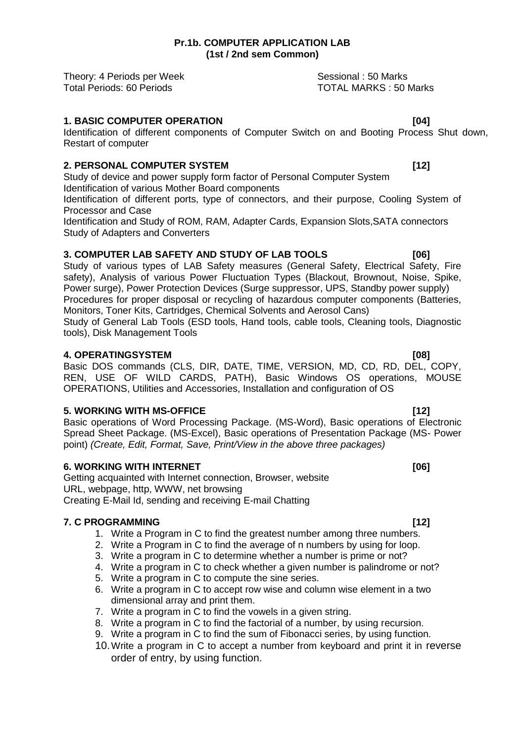Theory: 4 Periods per Week Sessional : 50 Marks Total Periods: 60 Periods TOTAL MARKS : 50 Marks

## **1. BASIC COMPUTER OPERATION 61 COMPUTER OPERATION**

Identification of different components of Computer Switch on and Booting Process Shut down, Restart of computer

## **2. PERSONAL COMPUTER SYSTEM [12]**

Study of device and power supply form factor of Personal Computer System Identification of various Mother Board components

Identification of different ports, type of connectors, and their purpose, Cooling System of Processor and Case

Identification and Study of ROM, RAM, Adapter Cards, Expansion Slots,SATA connectors Study of Adapters and Converters

## **3. COMPUTER LAB SAFETY AND STUDY OF LAB TOOLS [06]**

Study of various types of LAB Safety measures (General Safety, Electrical Safety, Fire safety), Analysis of various Power Fluctuation Types (Blackout, Brownout, Noise, Spike, Power surge), Power Protection Devices (Surge suppressor, UPS, Standby power supply) Procedures for proper disposal or recycling of hazardous computer components (Batteries, Monitors, Toner Kits, Cartridges, Chemical Solvents and Aerosol Cans) Study of General Lab Tools (ESD tools, Hand tools, cable tools, Cleaning tools, Diagnostic

tools), Disk Management Tools

#### **4. OPERATINGSYSTEM** [08]

Basic DOS commands (CLS, DIR, DATE, TIME, VERSION, MD, CD, RD, DEL, COPY, REN, USE OF WILD CARDS, PATH), Basic Windows OS operations, MOUSE OPERATIONS, Utilities and Accessories, Installation and configuration of OS

### **5. WORKING WITH MS-OFFICE [12]**

Basic operations of Word Processing Package. (MS-Word), Basic operations of Electronic Spread Sheet Package. (MS-Excel), Basic operations of Presentation Package (MS- Power point) (Create, Edit, Format, Save, Print/View in the above three packages)

### **6. WORKING WITH INTERNET [06]**

Getting acquainted with Internet connection, Browser, website URL, webpage, http, WWW, net browsing Creating E-Mail Id, sending and receiving E-mail Chatting

### **7. C PROGRAMMING [12]**

- 1. Write a Program in C to find the greatest number among three numbers.
- 2. Write a Program in C to find the average of n numbers by using for loop.
- 3. Write a program in C to determine whether a number is prime or not?
- 4. Write a program in C to check whether a given number is palindrome or not?
- 5. Write a program in C to compute the sine series.
- 6. Write a program in C to accept row wise and column wise element in a two dimensional array and print them.
- 7. Write a program in C to find the vowels in a given string.
- 8. Write a program in C to find the factorial of a number, by using recursion.
- 9. Write a program in C to find the sum of Fibonacci series, by using function.
- 10.Write a program in C to accept a number from keyboard and print it in reverse order of entry, by using function.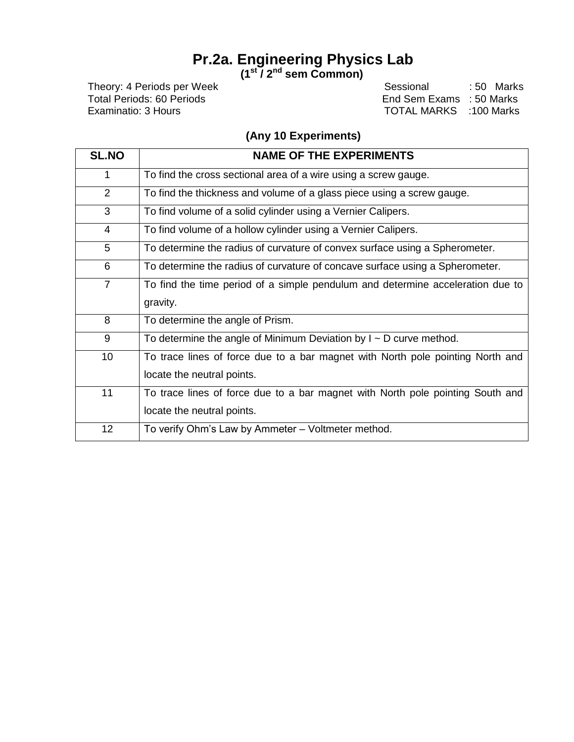# **Pr.2a. Engineering Physics Lab**

**(1st / 2nd sem Common)**

Theory: 4 Periods per Week Sessional : 50 Marks<br>
Total Periods: 60 Periods Contract Contract Contract Contract Contract Contract Contract Contract Contract Contra<br>
End Sem Exams : 50 Marks Total Periods: 60 Periods<br>
End Sem Exams : 50 Marks<br>
Examinatio: 3 Hours<br>
Examinatio: 3 Hours TOTAL MARKS :100 Marks

## **(Any 10 Experiments)**

| <b>SL.NO</b>   | <b>NAME OF THE EXPERIMENTS</b>                                                 |
|----------------|--------------------------------------------------------------------------------|
| 1              | To find the cross sectional area of a wire using a screw gauge.                |
| $\overline{2}$ | To find the thickness and volume of a glass piece using a screw gauge.         |
| 3              | To find volume of a solid cylinder using a Vernier Calipers.                   |
| $\overline{4}$ | To find volume of a hollow cylinder using a Vernier Calipers.                  |
| 5              | To determine the radius of curvature of convex surface using a Spherometer.    |
| 6              | To determine the radius of curvature of concave surface using a Spherometer.   |
| $\overline{7}$ | To find the time period of a simple pendulum and determine acceleration due to |
|                | gravity.                                                                       |
| 8              | To determine the angle of Prism.                                               |
| 9              | To determine the angle of Minimum Deviation by $I \sim D$ curve method.        |
| 10             | To trace lines of force due to a bar magnet with North pole pointing North and |
|                | locate the neutral points.                                                     |
| 11             | To trace lines of force due to a bar magnet with North pole pointing South and |
|                | locate the neutral points.                                                     |
| 12             | To verify Ohm's Law by Ammeter - Voltmeter method.                             |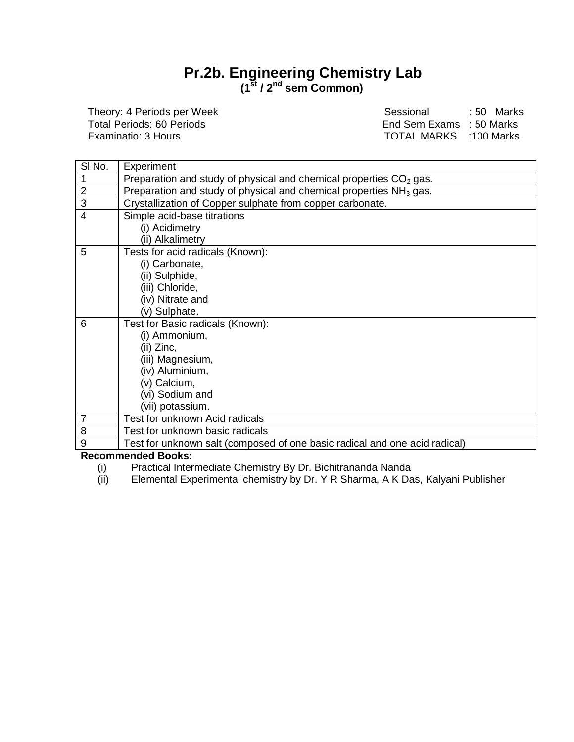## **Pr.2b. Engineering Chemistry Lab (1st / 2nd sem Common)**

Theory: 4 Periods per Week Sessional : 50 Marks<br>
Total Periods: 60 Periods Sessional End Sem Exams : 50 Marks Total Periods: 60 Periods<br>
End Sem Exams : 50 Marks<br>
Examinatio: 3 Hours<br>
Examinatio: 3 Hours TOTAL MARKS : 100 Marks

| SI No.                  | Experiment                                                                 |
|-------------------------|----------------------------------------------------------------------------|
|                         | Preparation and study of physical and chemical properties $CO2$ gas.       |
| $\overline{\mathbf{c}}$ | Preparation and study of physical and chemical properties $NH3$ gas.       |
| $\overline{3}$          | Crystallization of Copper sulphate from copper carbonate.                  |
| $\overline{4}$          | Simple acid-base titrations                                                |
|                         | (i) Acidimetry                                                             |
|                         | (ii) Alkalimetry                                                           |
| 5                       | Tests for acid radicals (Known):                                           |
|                         | (i) Carbonate,                                                             |
|                         | (ii) Sulphide,                                                             |
|                         | (iii) Chloride,                                                            |
|                         | (iv) Nitrate and                                                           |
|                         | (v) Sulphate.                                                              |
| 6                       | Test for Basic radicals (Known):                                           |
|                         | (i) Ammonium,                                                              |
|                         | (ii) Zinc,                                                                 |
|                         | (iii) Magnesium,                                                           |
|                         | (iv) Aluminium,                                                            |
|                         | (v) Calcium,                                                               |
|                         | (vi) Sodium and                                                            |
|                         | (vii) potassium.                                                           |
| $\overline{7}$          | Test for unknown Acid radicals                                             |
| 8                       | Test for unknown basic radicals                                            |
| $\overline{9}$          | Test for unknown salt (composed of one basic radical and one acid radical) |
| -                       | بالمتحافظ المتحالة                                                         |

#### **Recommended Books:**

- (i) Practical Intermediate Chemistry By Dr. Bichitrananda Nanda<br>(ii) Elemental Experimental chemistry by Dr. Y R Sharma, A K Da
- Elemental Experimental chemistry by Dr. Y R Sharma, A K Das, Kalyani Publisher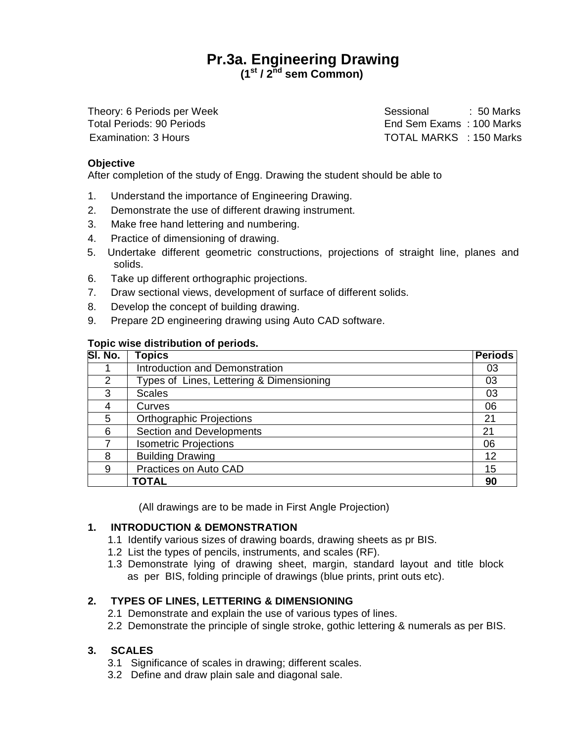## **Pr.3a. Engineering Drawing (1st / 2 nd sem Common)**

Theory: 6 Periods per Week Sessional : 50 Marks Total Periods: 90 Periods End Sem Exams : 100 Marks Examination: 3 Hours TOTAL MARKS : 150 Marks

#### **Objective**

After completion of the study of Engg. Drawing the student should be able to

- 1. Understand the importance of Engineering Drawing.
- 2. Demonstrate the use of different drawing instrument.
- 3. Make free hand lettering and numbering.
- 4. Practice of dimensioning of drawing.
- 5. Undertake different geometric constructions, projections of straight line, planes and solids.
- 6. Take up different orthographic projections.
- 7. Draw sectional views, development of surface of different solids.
- 8. Develop the concept of building drawing.
- 9. Prepare 2D engineering drawing using Auto CAD software.

#### **Topic wise distribution of periods.**

| SI. No. | <b>Topics</b>                            | <b>Periods</b> |
|---------|------------------------------------------|----------------|
|         | <b>Introduction and Demonstration</b>    | 03             |
| 2       | Types of Lines, Lettering & Dimensioning | 03             |
| 3       | <b>Scales</b>                            | 03             |
| 4       | Curves                                   | 06             |
| 5       | <b>Orthographic Projections</b>          | 21             |
| 6       | <b>Section and Developments</b>          | 21             |
|         | <b>Isometric Projections</b>             | 06             |
| 8       | <b>Building Drawing</b>                  | 12             |
| 9       | Practices on Auto CAD                    | 15             |
|         | <b>TOTAL</b>                             | 90             |

(All drawings are to be made in First Angle Projection)

### **1. INTRODUCTION & DEMONSTRATION**

- 1.1 Identify various sizes of drawing boards, drawing sheets as pr BIS.
- 1.2 List the types of pencils, instruments, and scales (RF).
- 1.3 Demonstrate lying of drawing sheet, margin, standard layout and title block as per BIS, folding principle of drawings (blue prints, print outs etc).

### **2. TYPES OF LINES, LETTERING & DIMENSIONING**

- 2.1 Demonstrate and explain the use of various types of lines.
- 2.2 Demonstrate the principle of single stroke, gothic lettering & numerals as per BIS.

#### **3. SCALES**

- 3.1 Significance of scales in drawing; different scales.
- 3.2 Define and draw plain sale and diagonal sale.